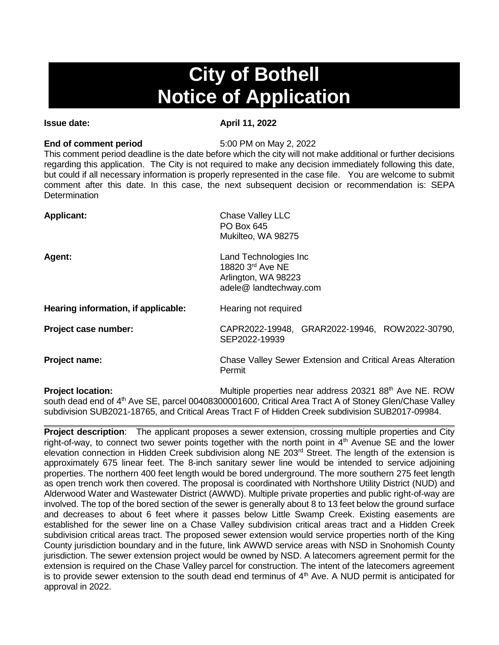# **City of Bothell Notice of Application**

# **Issue date:** April 11, 2022

# **End of comment period** 5:00 PM on May 2, 2022

This comment period deadline is the date before which the city will not make additional or further decisions regarding this application. The City is not required to make any decision immediately following this date, but could if all necessary information is properly represented in the case file. You are welcome to submit comment after this date. In this case, the next subsequent decision or recommendation is: SEPA **Determination** 

| <b>Applicant:</b>                   | <b>Chase Valley LLC</b><br>PO Box 645<br>Mukilteo, WA 98275                                |  |
|-------------------------------------|--------------------------------------------------------------------------------------------|--|
| <b>Agent:</b>                       | Land Technologies Inc<br>18820 3rd Ave NE<br>Arlington, WA 98223<br>adele@ landtechway.com |  |
| Hearing information, if applicable: | Hearing not required                                                                       |  |
| Project case number:                | CAPR2022-19948, GRAR2022-19946, ROW2022-30790,<br>SEP2022-19939                            |  |
| Project name:                       | Chase Valley Sewer Extension and Critical Areas Alteration<br>Permit                       |  |
| Destaat Laandine                    | $M_{\rm{u}}$                                                                               |  |

**Project location: Multiple properties near address 20321 88th Ave NE. ROW** south dead end of 4<sup>th</sup> Ave SE, parcel 00408300001600, Critical Area Tract A of Stoney Glen/Chase Valley subdivision SUB2021-18765, and Critical Areas Tract F of Hidden Creek subdivision SUB2017-09984.

**Project description**: The applicant proposes a sewer extension, crossing multiple properties and City right-of-way, to connect two sewer points together with the north point in  $4<sup>th</sup>$  Avenue SE and the lower elevation connection in Hidden Creek subdivision along NE 203<sup>rd</sup> Street. The length of the extension is approximately 675 linear feet. The 8-inch sanitary sewer line would be intended to service adjoining properties. The northern 400 feet length would be bored underground. The more southern 275 feet length as open trench work then covered. The proposal is coordinated with Northshore Utility District (NUD) and Alderwood Water and Wastewater District (AWWD). Multiple private properties and public right-of-way are involved. The top of the bored section of the sewer is generally about 8 to 13 feet below the ground surface and decreases to about 6 feet where it passes below Little Swamp Creek. Existing easements are established for the sewer line on a Chase Valley subdivision critical areas tract and a Hidden Creek subdivision critical areas tract. The proposed sewer extension would service properties north of the King County jurisdiction boundary and in the future, link AWWD service areas with NSD in Snohomish County jurisdiction. The sewer extension project would be owned by NSD. A latecomers agreement permit for the extension is required on the Chase Valley parcel for construction. The intent of the latecomers agreement is to provide sewer extension to the south dead end terminus of  $4<sup>th</sup>$  Ave. A NUD permit is anticipated for approval in 2022.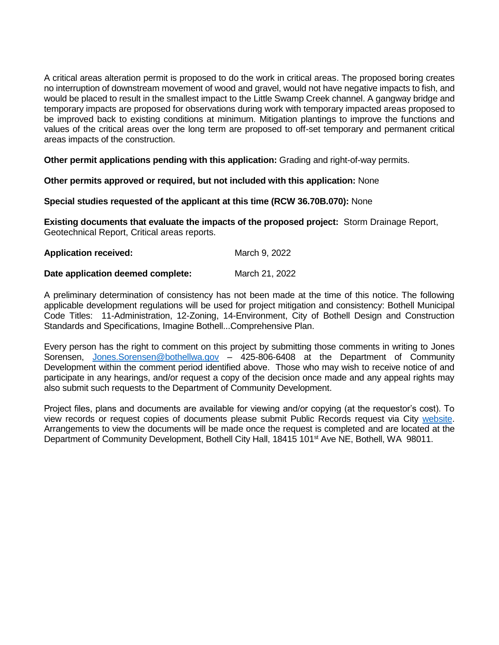A critical areas alteration permit is proposed to do the work in critical areas. The proposed boring creates no interruption of downstream movement of wood and gravel, would not have negative impacts to fish, and would be placed to result in the smallest impact to the Little Swamp Creek channel. A gangway bridge and temporary impacts are proposed for observations during work with temporary impacted areas proposed to be improved back to existing conditions at minimum. Mitigation plantings to improve the functions and values of the critical areas over the long term are proposed to off-set temporary and permanent critical areas impacts of the construction.

**Other permit applications pending with this application:** Grading and right-of-way permits.

### **Other permits approved or required, but not included with this application:** None

### **Special studies requested of the applicant at this time (RCW 36.70B.070):** None

**Existing documents that evaluate the impacts of the proposed project:** Storm Drainage Report, Geotechnical Report, Critical areas reports.

| <b>Application received:</b> | March 9, 2022 |
|------------------------------|---------------|
|                              |               |

## **Date application deemed complete:** March 21, 2022

A preliminary determination of consistency has not been made at the time of this notice. The following applicable development regulations will be used for project mitigation and consistency: Bothell Municipal Code Titles: 11-Administration, 12-Zoning, 14-Environment, City of Bothell Design and Construction Standards and Specifications, Imagine Bothell...Comprehensive Plan.

Every person has the right to comment on this project by submitting those comments in writing to Jones Sorensen, [Jones.Sorensen@bothellwa.gov](mailto:Jones.Sorensen@bothellwa.gov) – 425-806-6408 at the Department of Community Development within the comment period identified above. Those who may wish to receive notice of and participate in any hearings, and/or request a copy of the decision once made and any appeal rights may also submit such requests to the Department of Community Development.

Project files, plans and documents are available for viewing and/or copying (at the requestor's cost). To view records or request copies of documents please submit Public Records request via City [website.](https://bothellwa.mycusthelp.com/WEBAPP/_rs/(S(buo55z5nlwdya22dwvazlqaw))/SupportHome.aspx?sSessionID=&lp=2) Arrangements to view the documents will be made once the request is completed and are located at the Department of Community Development, Bothell City Hall, 18415 101<sup>st</sup> Ave NE, Bothell, WA 98011.